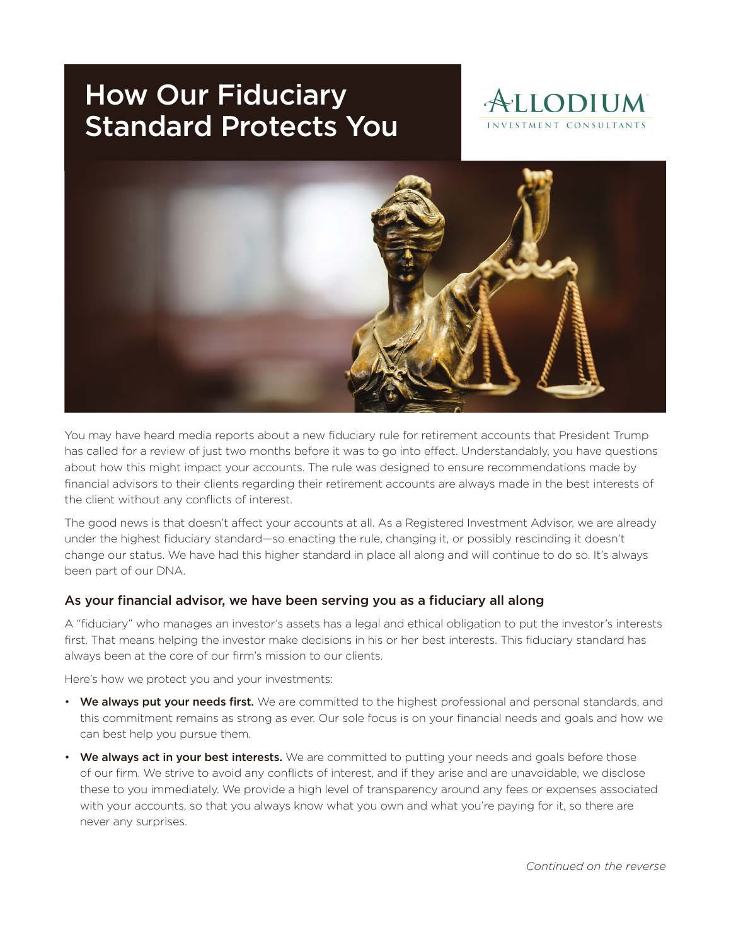# How Our Fiduciary Standard Protects You





You may have heard media reports about a new fiduciary rule for retirement accounts that President Trump has called for a review of just two months before it was to go into effect. Understandably, you have questions about how this might impact your accounts. The rule was designed to ensure recommendations made by financial advisors to their clients regarding their retirement accounts are always made in the best interests of the client without any conflicts of interest.

The good news is that doesn't affect your accounts at all. As a Registered Investment Advisor, we are already under the highest fiduciary standard—so enacting the rule, changing it, or possibly rescinding it doesn't change our status. We have had this higher standard in place all along and will continue to do so. It's always been part of our DNA.

#### As your financial advisor, we have been serving you as a fiduciary all along

A "fiduciary" who manages an investor's assets has a legal and ethical obligation to put the investor's interests first. That means helping the investor make decisions in his or her best interests. This fiduciary standard has always been at the core of our firm's mission to our clients.

Here's how we protect you and your investments:

- We always put your needs first. We are committed to the highest professional and personal standards, and this commitment remains as strong as ever. Our sole focus is on your financial needs and goals and how we can best help you pursue them.
- We always act in your best interests. We are committed to putting your needs and goals before those of our firm. We strive to avoid any conflicts of interest, and if they arise and are unavoidable, we disclose these to you immediately. We provide a high level of transparency around any fees or expenses associated with your accounts, so that you always know what you own and what you're paying for it, so there are never any surprises.